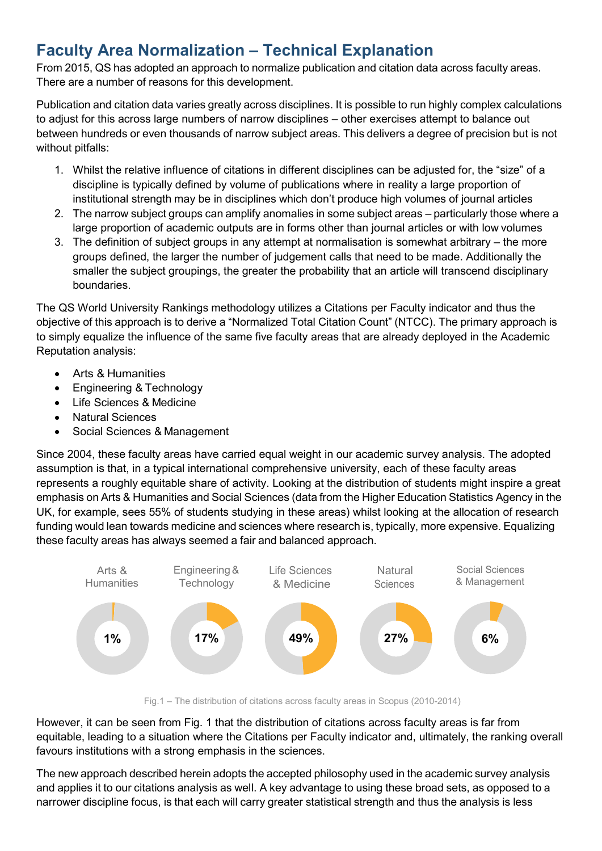## Faculty Area Normalization – Technical Explanation

From 2015, QS has adopted an approach to normalize publication and citation data across faculty areas. There are a number of reasons for this development.

Publication and citation data varies greatly across disciplines. It is possible to run highly complex calculations to adjust for this across large numbers of narrow disciplines – other exercises attempt to balance out between hundreds or even thousands of narrow subject areas. This delivers a degree of precision but is not without pitfalls:

- 1. Whilst the relative influence of citations in different disciplines can be adjusted for, the "size" of a discipline is typically defined by volume of publications where in reality a large proportion of institutional strength may be in disciplines which don't produce high volumes of journal articles
- 2. The narrow subject groups can amplify anomalies in some subject areas particularly those where a large proportion of academic outputs are in forms other than journal articles or with low volumes
- 3. The definition of subject groups in any attempt at normalisation is somewhat arbitrary the more groups defined, the larger the number of judgement calls that need to be made. Additionally the smaller the subject groupings, the greater the probability that an article will transcend disciplinary boundaries.

The QS World University Rankings methodology utilizes a Citations per Faculty indicator and thus the objective of this approach is to derive a "Normalized Total Citation Count" (NTCC). The primary approach is to simply equalize the influence of the same five faculty areas that are already deployed in the Academic Reputation analysis:

- Arts & Humanities
- Engineering & Technology
- Life Sciences & Medicine
- Natural Sciences
- Social Sciences & Management

Since 2004, these faculty areas have carried equal weight in our academic survey analysis. The adopted assumption is that, in a typical international comprehensive university, each of these faculty areas represents a roughly equitable share of activity. Looking at the distribution of students might inspire a great emphasis on Arts & Humanities and Social Sciences (data from the Higher Education Statistics Agency in the UK, for example, sees 55% of students studying in these areas) whilst looking at the allocation of research funding would lean towards medicine and sciences where research is, typically, more expensive. Equalizing these faculty areas has always seemed a fair and balanced approach.



Fig.1 – The distribution of citations across faculty areas in Scopus (2010-2014)

However, it can be seen from Fig. 1 that the distribution of citations across faculty areas is far from equitable, leading to a situation where the Citations per Faculty indicator and, ultimately, the ranking overall favours institutions with a strong emphasis in the sciences.

The new approach described herein adopts the accepted philosophy used in the academic survey analysis and applies it to our citations analysis as well. A key advantage to using these broad sets, as opposed to a narrower discipline focus, is that each will carry greater statistical strength and thus the analysis is less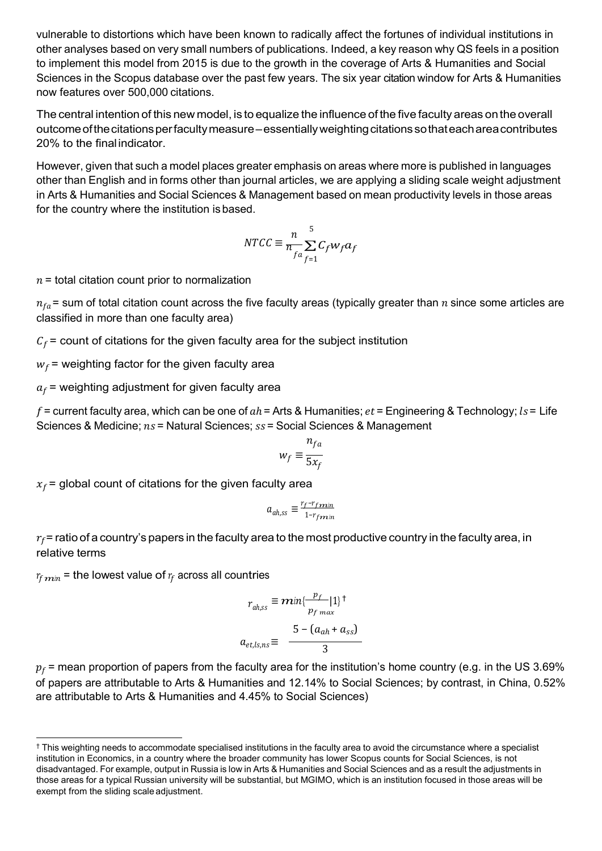vulnerable to distortions which have been known to radically affect the fortunes of individual institutions in other analyses based on very small numbers of publications. Indeed, a key reason why QS feels in a position to implement this model from 2015 is due to the growth in the coverage of Arts & Humanities and Social Sciences in the Scopus database over the past few years. The six year citation window for Arts & Humanities now features over 500,000 citations.

The central intention of this new model, is to equalize the influence of the five faculty areas on the overall outcome of the citations per faculty measure – essentially weighting citations so that each area contributes 20% to the final indicator.

However, given that such a model places greater emphasis on areas where more is published in languages other than English and in forms other than journal articles, we are applying a sliding scale weight adjustment in Arts & Humanities and Social Sciences & Management based on mean productivity levels in those areas for the country where the institution is based.

$$
NTCC \equiv \frac{n}{n_{fa}} \sum_{f=1}^{5} C_f w_f a_f
$$

 $n =$  total citation count prior to normalization

 $n_{fa}$  = sum of total citation count across the five faculty areas (typically greater than *n* since some articles are classified in more than one faculty area)

 $C_f$  = count of citations for the given faculty area for the subject institution

 $w_f$  = weighting factor for the given faculty area

 $a_f$  = weighting adjustment for given faculty area

f = current faculty area, which can be one of  $ah$  = Arts & Humanities;  $et$  = Engineering & Technology;  $ls$  = Life Sciences & Medicine;  $ns$  = Natural Sciences;  $ss$  = Social Sciences & Management

$$
w_f \equiv \frac{n_{fa}}{5x_f}
$$

 $x_f$  = global count of citations for the given faculty area

$$
a_{ah,ss} \equiv \frac{r_f - r_{fmin}}{1 - r_{fmin}}
$$

 $r_f$  = ratio of a country's papers in the faculty area to the most productive country in the faculty area, in relative terms

 $r_{f,min}$  = the lowest value of  $r_f$  across all countries

$$
r_{ah,ss} \equiv \bm{m} \cdot \frac{p_f}{p_{f \max}} |1\rangle^{\dagger}
$$

$$
a_{et,ls,ns} \equiv \frac{5 - (a_{ah} + a_{ss})}{3}
$$

 $p_f$  = mean proportion of papers from the faculty area for the institution's home country (e.g. in the US 3.69% of papers are attributable to Arts & Humanities and 12.14% to Social Sciences; by contrast, in China, 0.52% are attributable to Arts & Humanities and 4.45% to Social Sciences)

<sup>†</sup> This weighting needs to accommodate specialised institutions in the faculty area to avoid the circumstance where a specialist institution in Economics, in a country where the broader community has lower Scopus counts for Social Sciences, is not disadvantaged. For example, output in Russia is low in Arts & Humanities and Social Sciences and as a result the adjustments in those areas for a typical Russian university will be substantial, but MGIMO, which is an institution focused in those areas will be exempt from the sliding scale adjustment.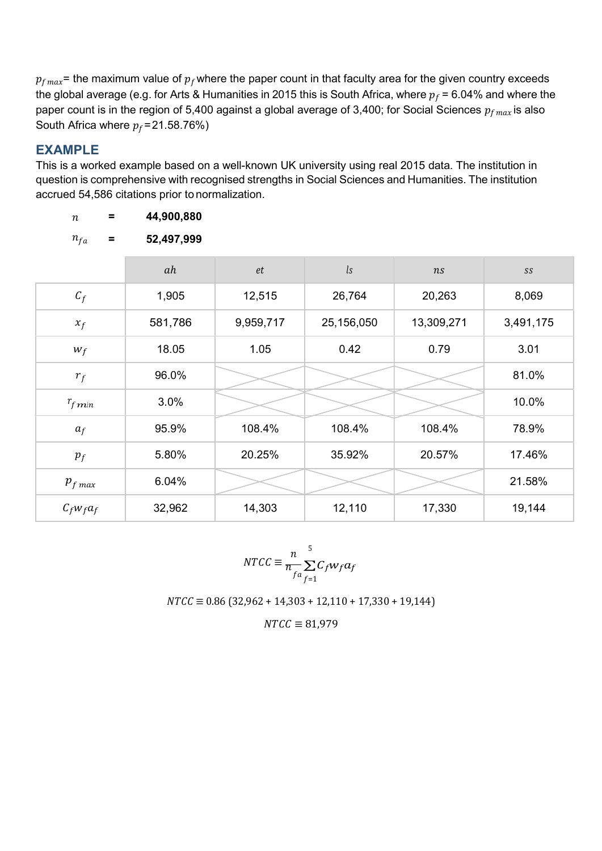$p_{fmax}$ = the maximum value of  $p_f$  where the paper count in that faculty area for the given country exceeds the global average (e.g. for Arts & Humanities in 2015 this is South Africa, where  $p_f$  = 6.04% and where the paper count is in the region of 5,400 against a global average of 3,400; for Social Sciences  $p_{fmax}$  is also South Africa where  $p_f = 21.58.76\%)$ 

## EXAMPLE

 $n = 44,900,880$ 

This is a worked example based on a well-known UK university using real 2015 data. The institution in question is comprehensive with recognised strengths in Social Sciences and Humanities. The institution accrued 54,586 citations prior to normalization.

| $n_{fa}$<br>$\equiv$    | 52,497,999 |           |            |            |               |
|-------------------------|------------|-----------|------------|------------|---------------|
|                         | ah         | $\it{et}$ | ls         | ns         | $\mathit{SS}$ |
| $C_f$                   | 1,905      | 12,515    | 26,764     | 20,263     | 8,069         |
| $x_f$                   | 581,786    | 9,959,717 | 25,156,050 | 13,309,271 | 3,491,175     |
| $W_f$                   | 18.05      | 1.05      | 0.42       | 0.79       | 3.01          |
| $r_f$                   | 96.0%      |           |            |            | 81.0%         |
| $r_{f\boldsymbol{m}$ in | 3.0%       |           |            |            | 10.0%         |
| $a_f$                   | 95.9%      | 108.4%    | 108.4%     | 108.4%     | 78.9%         |
| $p_f$                   | 5.80%      | 20.25%    | 35.92%     | 20.57%     | 17.46%        |
| $p_{f \, max}$          | 6.04%      |           |            |            | 21.58%        |
| $C_f w_f a_f$           | 32,962     | 14,303    | 12,110     | 17,330     | 19,144        |

$$
NTCC \equiv \frac{n}{n_{fa}} \sum_{f=1}^{5} C_f w_f a_f
$$

 $NTCC \equiv 0.86 (32,962 + 14,303 + 12,110 + 17,330 + 19,144)$ 

 $NTCC \equiv 81,979$